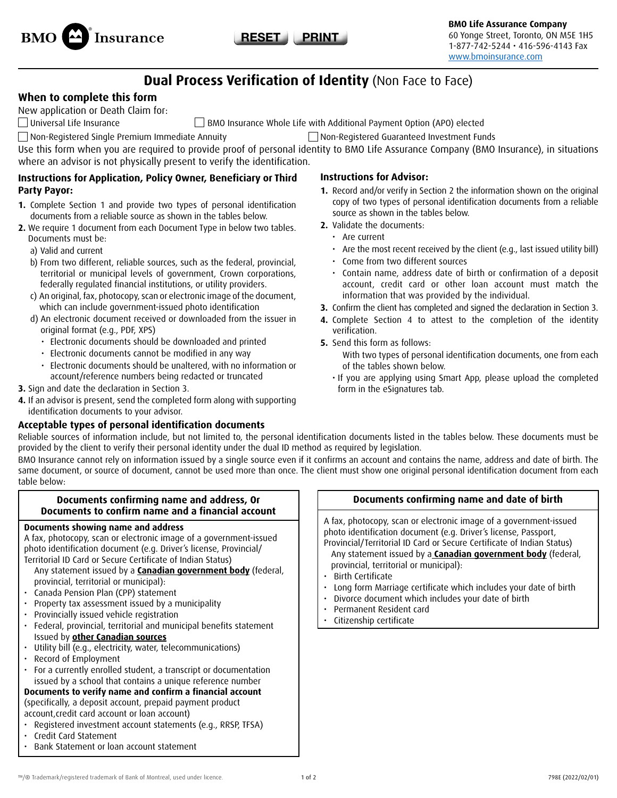



# **Dual Process Verification of Identity** (Non Face to Face)

# **When to complete this form**

New application or Death Claim for:

Universal Life Insurance BMO Insurance Whole Life with Additional Payment Option (APO) elected

Non-Registered Single Premium Immediate Annuity Non-Registered Guaranteed Investment Funds

Use this form when you are required to provide proof of personal identity to BMO Life Assurance Company (BMO Insurance), in situations where an advisor is not physically present to verify the identification.

# **Instructions for Application, Policy Owner, Beneficiary or Third Party Payor:**

- **1.** Complete Section 1 and provide two types of personal identification documents from a reliable source as shown in the tables below.
- **2.** We require 1 document from each Document Type in below two tables. Documents must be:
	- a) Valid and current
	- b) From two different, reliable sources, such as the federal, provincial, territorial or municipal levels of government, Crown corporations, federally regulated financial institutions, or utility providers.
	- c) An original, fax, photocopy, scan or electronic image of the document, which can include government-issued photo identification
	- d) An electronic document received or downloaded from the issuer in original format (e.g., PDF, XPS)
		- Electronic documents should be downloaded and printed
		- Electronic documents cannot be modified in any way
		- Electronic documents should be unaltered, with no information or account/reference numbers being redacted or truncated

### **3.** Sign and date the declaration in Section 3.

**4.** If an advisor is present, send the completed form along with supporting identification documents to your advisor.

# **Acceptable types of personal identification documents**

# **Instructions for Advisor:**

- **1.** Record and/or verify in Section 2 the information shown on the original copy of two types of personal identification documents from a reliable source as shown in the tables below.
- **2.** Validate the documents:
	- Are current
	- Are the most recent received by the client (e.g., last issued utility bill)
	- Come from two different sources
	- Contain name, address date of birth or confirmation of a deposit account, credit card or other loan account must match the information that was provided by the individual.
- **3.** Confirm the client has completed and signed the declaration in Section 3.
- **4.** Complete Section 4 to attest to the completion of the identity verification.
- **5.** Send this form as follows:
	- With two types of personal identification documents, one from each of the tables shown below.
	- If you are applying using Smart App, please upload the completed form in the eSignatures tab.

Reliable sources of information include, but not limited to, the personal identification documents listed in the tables below. These documents must be provided by the client to verify their personal identity under the dual ID method as required by legislation.

BMO Insurance cannot rely on information issued by a single source even if it confirms an account and contains the name, address and date of birth. The same document, or source of document, cannot be used more than once. The client must show one original personal identification document from each table below:

### **Documents confirming name and address, Or Documents to confirm name and a financial account**

### **Documents showing name and address**

A fax, photocopy, scan or electronic image of a government-issued photo identification document (e.g. Driver's license, Provincial/ Territorial ID Card or Secure Certificate of Indian Status)

- Any statement issued by a **Canadian government body** (federal, provincial, territorial or municipal):
- Canada Pension Plan (CPP) statement
- Property tax assessment issued by a municipality
- Provincially issued vehicle registration
- Federal, provincial, territorial and municipal benefits statement Issued by **other Canadian sources**
- Utility bill (e.g., electricity, water, telecommunications)
- Record of Employment
- For a currently enrolled student, a transcript or documentation issued by a school that contains a unique reference number

# **Documents to verify name and confirm a financial account**

(specifically, a deposit account, prepaid payment product account,credit card account or loan account)

- Registered investment account statements (e.g., RRSP, TFSA)
- Credit Card Statement
- Bank Statement or loan account statement

# **Documents confirming name and date of birth**

A fax, photocopy, scan or electronic image of a government-issued photo identification document (e.g. Driver's license, Passport,

- Provincial/Territorial ID Card or Secure Certificate of Indian Status) Any statement issued by a **Canadian government body** (federal, provincial, territorial or municipal):
- Birth Certificate
- Long form Marriage certificate which includes your date of birth
- Divorce document which includes your date of birth
- Permanent Resident card
- Citizenship certificate